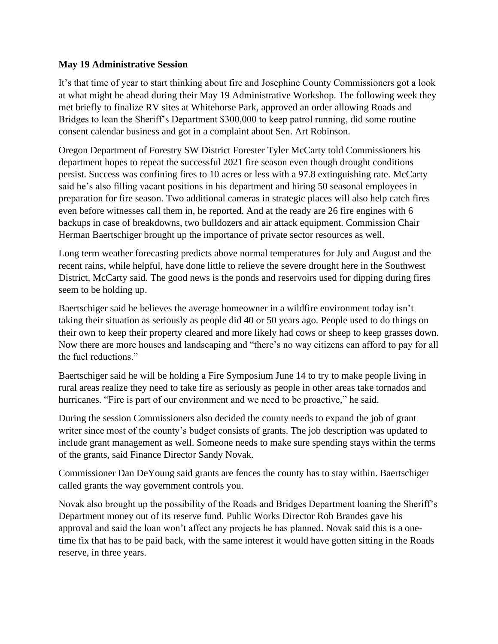### **May 19 Administrative Session**

It's that time of year to start thinking about fire and Josephine County Commissioners got a look at what might be ahead during their May 19 Administrative Workshop. The following week they met briefly to finalize RV sites at Whitehorse Park, approved an order allowing Roads and Bridges to loan the Sheriff's Department \$300,000 to keep patrol running, did some routine consent calendar business and got in a complaint about Sen. Art Robinson.

Oregon Department of Forestry SW District Forester Tyler McCarty told Commissioners his department hopes to repeat the successful 2021 fire season even though drought conditions persist. Success was confining fires to 10 acres or less with a 97.8 extinguishing rate. McCarty said he's also filling vacant positions in his department and hiring 50 seasonal employees in preparation for fire season. Two additional cameras in strategic places will also help catch fires even before witnesses call them in, he reported. And at the ready are 26 fire engines with 6 backups in case of breakdowns, two bulldozers and air attack equipment. Commission Chair Herman Baertschiger brought up the importance of private sector resources as well.

Long term weather forecasting predicts above normal temperatures for July and August and the recent rains, while helpful, have done little to relieve the severe drought here in the Southwest District, McCarty said. The good news is the ponds and reservoirs used for dipping during fires seem to be holding up.

Baertschiger said he believes the average homeowner in a wildfire environment today isn't taking their situation as seriously as people did 40 or 50 years ago. People used to do things on their own to keep their property cleared and more likely had cows or sheep to keep grasses down. Now there are more houses and landscaping and "there's no way citizens can afford to pay for all the fuel reductions."

Baertschiger said he will be holding a Fire Symposium June 14 to try to make people living in rural areas realize they need to take fire as seriously as people in other areas take tornados and hurricanes. "Fire is part of our environment and we need to be proactive," he said.

During the session Commissioners also decided the county needs to expand the job of grant writer since most of the county's budget consists of grants. The job description was updated to include grant management as well. Someone needs to make sure spending stays within the terms of the grants, said Finance Director Sandy Novak.

Commissioner Dan DeYoung said grants are fences the county has to stay within. Baertschiger called grants the way government controls you.

Novak also brought up the possibility of the Roads and Bridges Department loaning the Sheriff's Department money out of its reserve fund. Public Works Director Rob Brandes gave his approval and said the loan won't affect any projects he has planned. Novak said this is a onetime fix that has to be paid back, with the same interest it would have gotten sitting in the Roads reserve, in three years.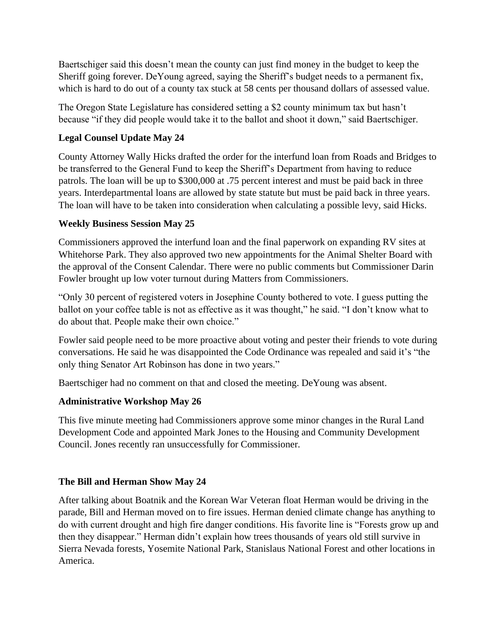Baertschiger said this doesn't mean the county can just find money in the budget to keep the Sheriff going forever. DeYoung agreed, saying the Sheriff's budget needs to a permanent fix, which is hard to do out of a county tax stuck at 58 cents per thousand dollars of assessed value.

The Oregon State Legislature has considered setting a \$2 county minimum tax but hasn't because "if they did people would take it to the ballot and shoot it down," said Baertschiger.

# **Legal Counsel Update May 24**

County Attorney Wally Hicks drafted the order for the interfund loan from Roads and Bridges to be transferred to the General Fund to keep the Sheriff's Department from having to reduce patrols. The loan will be up to \$300,000 at .75 percent interest and must be paid back in three years. Interdepartmental loans are allowed by state statute but must be paid back in three years. The loan will have to be taken into consideration when calculating a possible levy, said Hicks.

## **Weekly Business Session May 25**

Commissioners approved the interfund loan and the final paperwork on expanding RV sites at Whitehorse Park. They also approved two new appointments for the Animal Shelter Board with the approval of the Consent Calendar. There were no public comments but Commissioner Darin Fowler brought up low voter turnout during Matters from Commissioners.

"Only 30 percent of registered voters in Josephine County bothered to vote. I guess putting the ballot on your coffee table is not as effective as it was thought," he said. "I don't know what to do about that. People make their own choice."

Fowler said people need to be more proactive about voting and pester their friends to vote during conversations. He said he was disappointed the Code Ordinance was repealed and said it's "the only thing Senator Art Robinson has done in two years."

Baertschiger had no comment on that and closed the meeting. DeYoung was absent.

## **Administrative Workshop May 26**

This five minute meeting had Commissioners approve some minor changes in the Rural Land Development Code and appointed Mark Jones to the Housing and Community Development Council. Jones recently ran unsuccessfully for Commissioner.

## **The Bill and Herman Show May 24**

After talking about Boatnik and the Korean War Veteran float Herman would be driving in the parade, Bill and Herman moved on to fire issues. Herman denied climate change has anything to do with current drought and high fire danger conditions. His favorite line is "Forests grow up and then they disappear." Herman didn't explain how trees thousands of years old still survive in Sierra Nevada forests, Yosemite National Park, Stanislaus National Forest and other locations in America.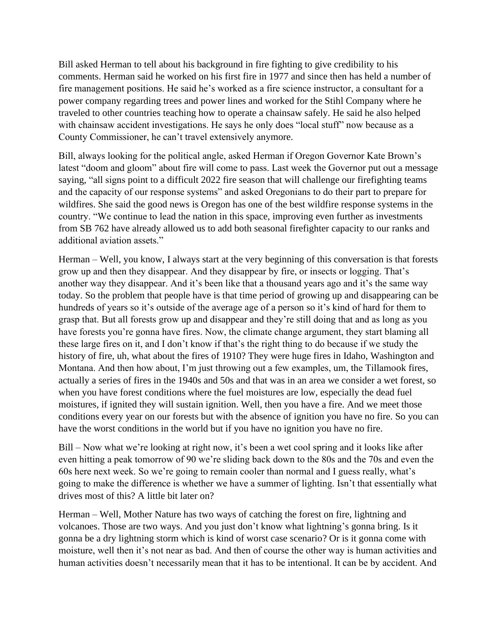Bill asked Herman to tell about his background in fire fighting to give credibility to his comments. Herman said he worked on his first fire in 1977 and since then has held a number of fire management positions. He said he's worked as a fire science instructor, a consultant for a power company regarding trees and power lines and worked for the Stihl Company where he traveled to other countries teaching how to operate a chainsaw safely. He said he also helped with chainsaw accident investigations. He says he only does "local stuff" now because as a County Commissioner, he can't travel extensively anymore.

Bill, always looking for the political angle, asked Herman if Oregon Governor Kate Brown's latest "doom and gloom" about fire will come to pass. Last week the Governor put out a message saying, "all signs point to a difficult 2022 fire season that will challenge our firefighting teams and the capacity of our response systems" and asked Oregonians to do their part to prepare for wildfires. She said the good news is Oregon has one of the best wildfire response systems in the country. "We continue to lead the nation in this space, improving even further as investments from SB 762 have already allowed us to add both seasonal firefighter capacity to our ranks and additional aviation assets."

Herman – Well, you know, I always start at the very beginning of this conversation is that forests grow up and then they disappear. And they disappear by fire, or insects or logging. That's another way they disappear. And it's been like that a thousand years ago and it's the same way today. So the problem that people have is that time period of growing up and disappearing can be hundreds of years so it's outside of the average age of a person so it's kind of hard for them to grasp that. But all forests grow up and disappear and they're still doing that and as long as you have forests you're gonna have fires. Now, the climate change argument, they start blaming all these large fires on it, and I don't know if that's the right thing to do because if we study the history of fire, uh, what about the fires of 1910? They were huge fires in Idaho, Washington and Montana. And then how about, I'm just throwing out a few examples, um, the Tillamook fires, actually a series of fires in the 1940s and 50s and that was in an area we consider a wet forest, so when you have forest conditions where the fuel moistures are low, especially the dead fuel moistures, if ignited they will sustain ignition. Well, then you have a fire. And we meet those conditions every year on our forests but with the absence of ignition you have no fire. So you can have the worst conditions in the world but if you have no ignition you have no fire.

Bill – Now what we're looking at right now, it's been a wet cool spring and it looks like after even hitting a peak tomorrow of 90 we're sliding back down to the 80s and the 70s and even the 60s here next week. So we're going to remain cooler than normal and I guess really, what's going to make the difference is whether we have a summer of lighting. Isn't that essentially what drives most of this? A little bit later on?

Herman – Well, Mother Nature has two ways of catching the forest on fire, lightning and volcanoes. Those are two ways. And you just don't know what lightning's gonna bring. Is it gonna be a dry lightning storm which is kind of worst case scenario? Or is it gonna come with moisture, well then it's not near as bad. And then of course the other way is human activities and human activities doesn't necessarily mean that it has to be intentional. It can be by accident. And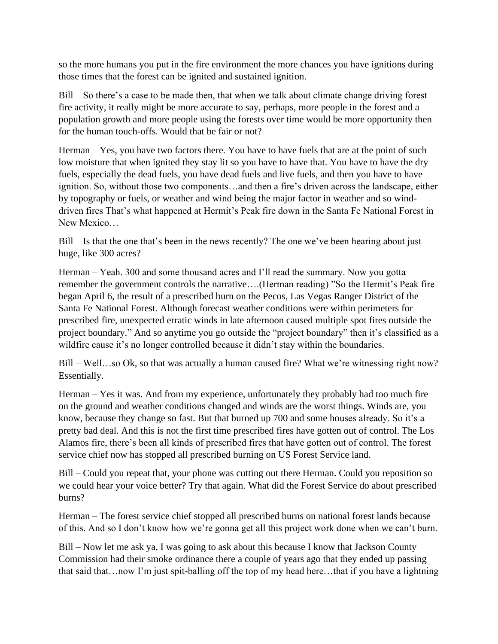so the more humans you put in the fire environment the more chances you have ignitions during those times that the forest can be ignited and sustained ignition.

Bill – So there's a case to be made then, that when we talk about climate change driving forest fire activity, it really might be more accurate to say, perhaps, more people in the forest and a population growth and more people using the forests over time would be more opportunity then for the human touch-offs. Would that be fair or not?

Herman – Yes, you have two factors there. You have to have fuels that are at the point of such low moisture that when ignited they stay lit so you have to have that. You have to have the dry fuels, especially the dead fuels, you have dead fuels and live fuels, and then you have to have ignition. So, without those two components…and then a fire's driven across the landscape, either by topography or fuels, or weather and wind being the major factor in weather and so winddriven fires That's what happened at Hermit's Peak fire down in the Santa Fe National Forest in New Mexico…

Bill – Is that the one that's been in the news recently? The one we've been hearing about just huge, like 300 acres?

Herman – Yeah. 300 and some thousand acres and I'll read the summary. Now you gotta remember the government controls the narrative….(Herman reading) "So the Hermit's Peak fire began April 6, the result of a prescribed burn on the Pecos, Las Vegas Ranger District of the Santa Fe National Forest. Although forecast weather conditions were within perimeters for prescribed fire, unexpected erratic winds in late afternoon caused multiple spot fires outside the project boundary." And so anytime you go outside the "project boundary" then it's classified as a wildfire cause it's no longer controlled because it didn't stay within the boundaries.

Bill – Well...so Ok, so that was actually a human caused fire? What we're witnessing right now? Essentially.

Herman – Yes it was. And from my experience, unfortunately they probably had too much fire on the ground and weather conditions changed and winds are the worst things. Winds are, you know, because they change so fast. But that burned up 700 and some houses already. So it's a pretty bad deal. And this is not the first time prescribed fires have gotten out of control. The Los Alamos fire, there's been all kinds of prescribed fires that have gotten out of control. The forest service chief now has stopped all prescribed burning on US Forest Service land.

Bill – Could you repeat that, your phone was cutting out there Herman. Could you reposition so we could hear your voice better? Try that again. What did the Forest Service do about prescribed burns?

Herman – The forest service chief stopped all prescribed burns on national forest lands because of this. And so I don't know how we're gonna get all this project work done when we can't burn.

Bill – Now let me ask ya, I was going to ask about this because I know that Jackson County Commission had their smoke ordinance there a couple of years ago that they ended up passing that said that…now I'm just spit-balling off the top of my head here…that if you have a lightning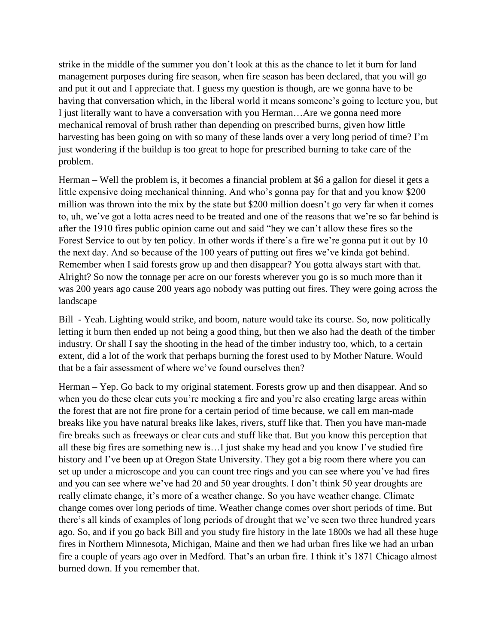strike in the middle of the summer you don't look at this as the chance to let it burn for land management purposes during fire season, when fire season has been declared, that you will go and put it out and I appreciate that. I guess my question is though, are we gonna have to be having that conversation which, in the liberal world it means someone's going to lecture you, but I just literally want to have a conversation with you Herman…Are we gonna need more mechanical removal of brush rather than depending on prescribed burns, given how little harvesting has been going on with so many of these lands over a very long period of time? I'm just wondering if the buildup is too great to hope for prescribed burning to take care of the problem.

Herman – Well the problem is, it becomes a financial problem at \$6 a gallon for diesel it gets a little expensive doing mechanical thinning. And who's gonna pay for that and you know \$200 million was thrown into the mix by the state but \$200 million doesn't go very far when it comes to, uh, we've got a lotta acres need to be treated and one of the reasons that we're so far behind is after the 1910 fires public opinion came out and said "hey we can't allow these fires so the Forest Service to out by ten policy. In other words if there's a fire we're gonna put it out by 10 the next day. And so because of the 100 years of putting out fires we've kinda got behind. Remember when I said forests grow up and then disappear? You gotta always start with that. Alright? So now the tonnage per acre on our forests wherever you go is so much more than it was 200 years ago cause 200 years ago nobody was putting out fires. They were going across the landscape

Bill - Yeah. Lighting would strike, and boom, nature would take its course. So, now politically letting it burn then ended up not being a good thing, but then we also had the death of the timber industry. Or shall I say the shooting in the head of the timber industry too, which, to a certain extent, did a lot of the work that perhaps burning the forest used to by Mother Nature. Would that be a fair assessment of where we've found ourselves then?

Herman – Yep. Go back to my original statement. Forests grow up and then disappear. And so when you do these clear cuts you're mocking a fire and you're also creating large areas within the forest that are not fire prone for a certain period of time because, we call em man-made breaks like you have natural breaks like lakes, rivers, stuff like that. Then you have man-made fire breaks such as freeways or clear cuts and stuff like that. But you know this perception that all these big fires are something new is…I just shake my head and you know I've studied fire history and I've been up at Oregon State University. They got a big room there where you can set up under a microscope and you can count tree rings and you can see where you've had fires and you can see where we've had 20 and 50 year droughts. I don't think 50 year droughts are really climate change, it's more of a weather change. So you have weather change. Climate change comes over long periods of time. Weather change comes over short periods of time. But there's all kinds of examples of long periods of drought that we've seen two three hundred years ago. So, and if you go back Bill and you study fire history in the late 1800s we had all these huge fires in Northern Minnesota, Michigan, Maine and then we had urban fires like we had an urban fire a couple of years ago over in Medford. That's an urban fire. I think it's 1871 Chicago almost burned down. If you remember that.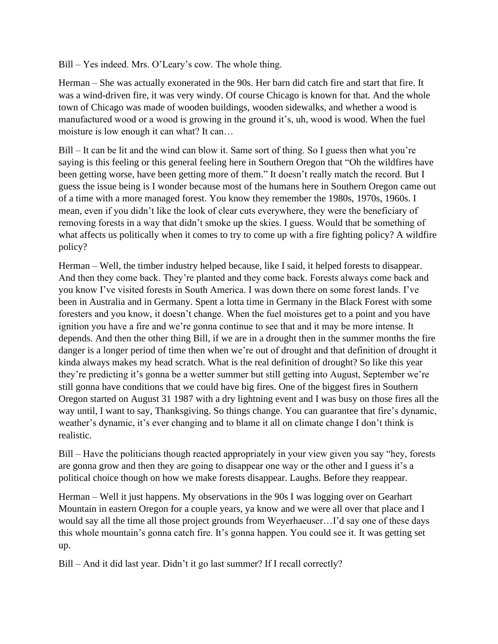Bill – Yes indeed. Mrs. O'Leary's cow. The whole thing.

Herman – She was actually exonerated in the 90s. Her barn did catch fire and start that fire. It was a wind-driven fire, it was very windy. Of course Chicago is known for that. And the whole town of Chicago was made of wooden buildings, wooden sidewalks, and whether a wood is manufactured wood or a wood is growing in the ground it's, uh, wood is wood. When the fuel moisture is low enough it can what? It can…

Bill – It can be lit and the wind can blow it. Same sort of thing. So I guess then what you're saying is this feeling or this general feeling here in Southern Oregon that "Oh the wildfires have been getting worse, have been getting more of them." It doesn't really match the record. But I guess the issue being is I wonder because most of the humans here in Southern Oregon came out of a time with a more managed forest. You know they remember the 1980s, 1970s, 1960s. I mean, even if you didn't like the look of clear cuts everywhere, they were the beneficiary of removing forests in a way that didn't smoke up the skies. I guess. Would that be something of what affects us politically when it comes to try to come up with a fire fighting policy? A wildfire policy?

Herman – Well, the timber industry helped because, like I said, it helped forests to disappear. And then they come back. They're planted and they come back. Forests always come back and you know I've visited forests in South America. I was down there on some forest lands. I've been in Australia and in Germany. Spent a lotta time in Germany in the Black Forest with some foresters and you know, it doesn't change. When the fuel moistures get to a point and you have ignition you have a fire and we're gonna continue to see that and it may be more intense. It depends. And then the other thing Bill, if we are in a drought then in the summer months the fire danger is a longer period of time then when we're out of drought and that definition of drought it kinda always makes my head scratch. What is the real definition of drought? So like this year they're predicting it's gonna be a wetter summer but still getting into August, September we're still gonna have conditions that we could have big fires. One of the biggest fires in Southern Oregon started on August 31 1987 with a dry lightning event and I was busy on those fires all the way until, I want to say, Thanksgiving. So things change. You can guarantee that fire's dynamic, weather's dynamic, it's ever changing and to blame it all on climate change I don't think is realistic.

Bill – Have the politicians though reacted appropriately in your view given you say "hey, forests are gonna grow and then they are going to disappear one way or the other and I guess it's a political choice though on how we make forests disappear. Laughs. Before they reappear.

Herman – Well it just happens. My observations in the 90s I was logging over on Gearhart Mountain in eastern Oregon for a couple years, ya know and we were all over that place and I would say all the time all those project grounds from Weyerhaeuser…I'd say one of these days this whole mountain's gonna catch fire. It's gonna happen. You could see it. It was getting set up.

Bill – And it did last year. Didn't it go last summer? If I recall correctly?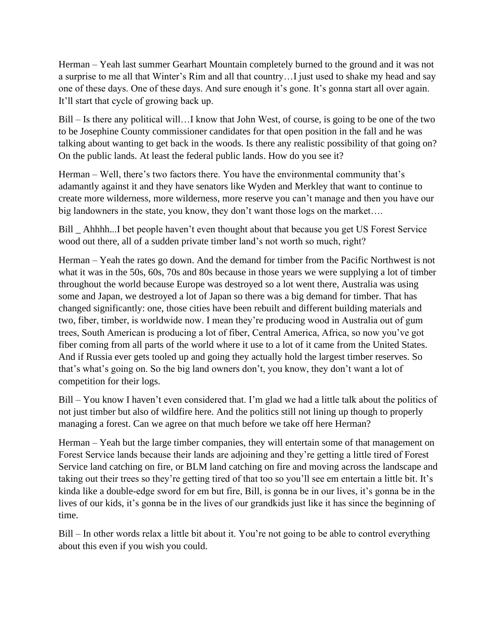Herman – Yeah last summer Gearhart Mountain completely burned to the ground and it was not a surprise to me all that Winter's Rim and all that country…I just used to shake my head and say one of these days. One of these days. And sure enough it's gone. It's gonna start all over again. It'll start that cycle of growing back up.

Bill – Is there any political will…I know that John West, of course, is going to be one of the two to be Josephine County commissioner candidates for that open position in the fall and he was talking about wanting to get back in the woods. Is there any realistic possibility of that going on? On the public lands. At least the federal public lands. How do you see it?

Herman – Well, there's two factors there. You have the environmental community that's adamantly against it and they have senators like Wyden and Merkley that want to continue to create more wilderness, more wilderness, more reserve you can't manage and then you have our big landowners in the state, you know, they don't want those logs on the market….

Bill \_ Ahhhh...I bet people haven't even thought about that because you get US Forest Service wood out there, all of a sudden private timber land's not worth so much, right?

Herman – Yeah the rates go down. And the demand for timber from the Pacific Northwest is not what it was in the 50s, 60s, 70s and 80s because in those years we were supplying a lot of timber throughout the world because Europe was destroyed so a lot went there, Australia was using some and Japan, we destroyed a lot of Japan so there was a big demand for timber. That has changed significantly: one, those cities have been rebuilt and different building materials and two, fiber, timber, is worldwide now. I mean they're producing wood in Australia out of gum trees, South American is producing a lot of fiber, Central America, Africa, so now you've got fiber coming from all parts of the world where it use to a lot of it came from the United States. And if Russia ever gets tooled up and going they actually hold the largest timber reserves. So that's what's going on. So the big land owners don't, you know, they don't want a lot of competition for their logs.

Bill – You know I haven't even considered that. I'm glad we had a little talk about the politics of not just timber but also of wildfire here. And the politics still not lining up though to properly managing a forest. Can we agree on that much before we take off here Herman?

Herman – Yeah but the large timber companies, they will entertain some of that management on Forest Service lands because their lands are adjoining and they're getting a little tired of Forest Service land catching on fire, or BLM land catching on fire and moving across the landscape and taking out their trees so they're getting tired of that too so you'll see em entertain a little bit. It's kinda like a double-edge sword for em but fire, Bill, is gonna be in our lives, it's gonna be in the lives of our kids, it's gonna be in the lives of our grandkids just like it has since the beginning of time.

Bill – In other words relax a little bit about it. You're not going to be able to control everything about this even if you wish you could.